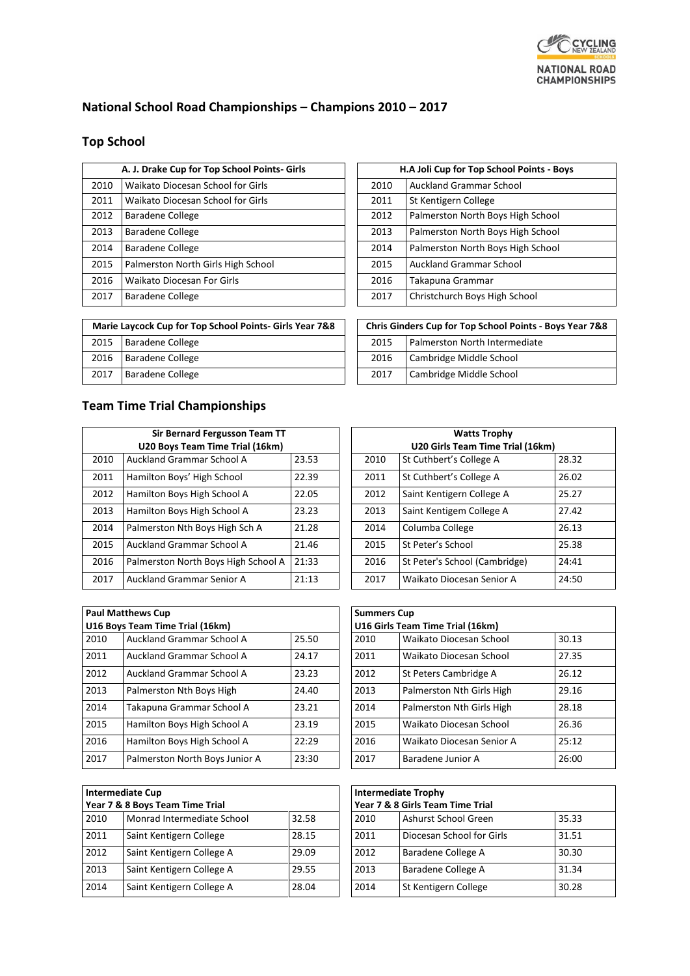

#### **National School Road Championships – Champions 2010 – 2017**

# **Top School**

|      | A. J. Drake Cup for Top School Points- Girls |      | H.A Joli Cup for Top School Points - B |
|------|----------------------------------------------|------|----------------------------------------|
| 2010 | Waikato Diocesan School for Girls            | 2010 | <b>Auckland Grammar School</b>         |
| 2011 | Waikato Diocesan School for Girls            | 2011 | St Kentigern College                   |
| 2012 | Baradene College                             | 2012 | Palmerston North Boys High School      |
| 2013 | Baradene College                             | 2013 | Palmerston North Boys High School      |
| 2014 | <b>Baradene College</b>                      | 2014 | Palmerston North Boys High School      |
| 2015 | Palmerston North Girls High School           | 2015 | <b>Auckland Grammar School</b>         |
| 2016 | <b>Waikato Diocesan For Girls</b>            | 2016 | Takapuna Grammar                       |
| 2017 | <b>Baradene College</b>                      | 2017 | Christchurch Boys High School          |
|      |                                              |      |                                        |

| Marie Laycock Cup for Top School Points- Girls Year 7&8 | <b>Chris Ginders Cup for Top School Points - Boys Year 7&amp;8</b> |      |                               |
|---------------------------------------------------------|--------------------------------------------------------------------|------|-------------------------------|
| 2015<br>Baradene College                                |                                                                    | 2015 | Palmerston North Intermediate |
| Baradene College<br>2016                                |                                                                    | 2016 | Cambridge Middle School       |
| 2017<br>Baradene College                                |                                                                    | 2017 | Cambridge Middle School       |

# **Team Time Trial Championships**

|      | Sir Bernard Fergusson Team TT       |       | <b>Watts Trophy</b>              |                               |       |
|------|-------------------------------------|-------|----------------------------------|-------------------------------|-------|
|      | U20 Boys Team Time Trial (16km)     |       | U20 Girls Team Time Trial (16km) |                               |       |
| 2010 | Auckland Grammar School A           | 23.53 | 2010                             | St Cuthbert's College A       | 28.32 |
| 2011 | Hamilton Boys' High School          | 22.39 | 2011                             | St Cuthbert's College A       | 26.02 |
| 2012 | Hamilton Boys High School A         | 22.05 | 2012                             | Saint Kentigern College A     | 25.27 |
| 2013 | Hamilton Boys High School A         | 23.23 | 2013                             | Saint Kentigem College A      | 27.42 |
| 2014 | Palmerston Nth Boys High Sch A      | 21.28 | 2014                             | Columba College               | 26.13 |
| 2015 | Auckland Grammar School A           | 21.46 | 2015                             | St Peter's School             | 25.38 |
| 2016 | Palmerston North Boys High School A | 21:33 | 2016                             | St Peter's School (Cambridge) | 24:41 |
| 2017 | <b>Auckland Grammar Senior A</b>    | 21:13 | 2017                             | Waikato Diocesan Senior A     | 24:50 |
|      |                                     |       |                                  |                               |       |

| <b>Paul Matthews Cup</b>        |                                |       | <b>Summers Cup</b>               |                           |       |
|---------------------------------|--------------------------------|-------|----------------------------------|---------------------------|-------|
| U16 Boys Team Time Trial (16km) |                                |       | U16 Girls Team Time Trial (16km) |                           |       |
| 2010                            | Auckland Grammar School A      | 25.50 | 2010                             | Waikato Diocesan School   | 30.13 |
| 2011                            | Auckland Grammar School A      | 24.17 | 2011                             | Waikato Diocesan School   | 27.35 |
| 2012                            | Auckland Grammar School A      | 23.23 | 2012                             | St Peters Cambridge A     | 26.12 |
| 2013                            | Palmerston Nth Boys High       | 24.40 | 2013                             | Palmerston Nth Girls High | 29.16 |
| 2014                            | Takapuna Grammar School A      | 23.21 | 2014                             | Palmerston Nth Girls High | 28.18 |
| 2015                            | Hamilton Boys High School A    | 23.19 | 2015                             | Waikato Diocesan School   | 26.36 |
| 2016                            | Hamilton Boys High School A    | 22:29 | 2016                             | Waikato Diocesan Senior A | 25:12 |
| 2017                            | Palmerston North Boys Junior A | 23:30 | 2017                             | Baradene Junior A         | 26:00 |

|                                 | <b>Intermediate Cup</b>    |                                  |  |      | <b>Intermediate Trophy</b> |       |
|---------------------------------|----------------------------|----------------------------------|--|------|----------------------------|-------|
| Year 7 & 8 Boys Team Time Trial |                            | Year 7 & 8 Girls Team Time Trial |  |      |                            |       |
| 2010                            | Monrad Intermediate School | 32.58                            |  | 2010 | Ashurst School Green       | 35.33 |
| 2011                            | Saint Kentigern College    | 28.15                            |  | 2011 | Diocesan School for Girls  | 31.51 |
| 2012                            | Saint Kentigern College A  | 29.09                            |  | 2012 | Baradene College A         | 30.30 |
| 2013                            | Saint Kentigern College A  | 29.55                            |  | 2013 | Baradene College A         | 31.34 |
| 2014                            | Saint Kentigern College A  | 28.04                            |  | 2014 | St Kentigern College       | 30.28 |

| A. J. Drake Cup for Top School Points- Girls | H.A Joli Cup for Top School Points - Boys |      |                                   |
|----------------------------------------------|-------------------------------------------|------|-----------------------------------|
| Waikato Diocesan School for Girls            |                                           | 2010 | <b>Auckland Grammar School</b>    |
| Waikato Diocesan School for Girls            |                                           | 2011 | St Kentigern College              |
| <b>Baradene College</b>                      |                                           | 2012 | Palmerston North Boys High School |
| Baradene College                             |                                           | 2013 | Palmerston North Boys High School |
| Baradene College                             |                                           | 2014 | Palmerston North Boys High School |
| Palmerston North Girls High School           |                                           | 2015 | <b>Auckland Grammar School</b>    |
| <b>Waikato Diocesan For Girls</b>            |                                           | 2016 | Takapuna Grammar                  |
| Baradene College                             |                                           | 2017 | Christchurch Boys High School     |

| Chris Ginders Cup for Top School Points - Boys Year 7&8 |                               |  |  |  |  |
|---------------------------------------------------------|-------------------------------|--|--|--|--|
| 2015                                                    | Palmerston North Intermediate |  |  |  |  |
| 2016                                                    | Cambridge Middle School       |  |  |  |  |
| 2017                                                    | Cambridge Middle School       |  |  |  |  |

|      | <b>Watts Trophy</b><br>U20 Girls Team Time Trial (16km) |       |  |  |  |  |
|------|---------------------------------------------------------|-------|--|--|--|--|
| 2010 | St Cuthbert's College A                                 | 28.32 |  |  |  |  |
| 2011 | St Cuthbert's College A                                 | 26.02 |  |  |  |  |
| 2012 | Saint Kentigern College A                               | 25.27 |  |  |  |  |
| 2013 | Saint Kentigem College A                                | 27.42 |  |  |  |  |
| 2014 | Columba College                                         | 26.13 |  |  |  |  |
| 2015 | St Peter's School                                       | 25.38 |  |  |  |  |
| 2016 | St Peter's School (Cambridge)                           | 24:41 |  |  |  |  |
| 2017 | Waikato Diocesan Senior A                               | 24:50 |  |  |  |  |

| <b>Summers Cup</b> |                                  |       |  |  |  |  |
|--------------------|----------------------------------|-------|--|--|--|--|
|                    | U16 Girls Team Time Trial (16km) |       |  |  |  |  |
| 2010               | Waikato Diocesan School          | 30.13 |  |  |  |  |
| 2011               | Waikato Diocesan School          | 27.35 |  |  |  |  |
| 2012               | St Peters Cambridge A            | 26.12 |  |  |  |  |
| 2013               | Palmerston Nth Girls High        | 29.16 |  |  |  |  |
| 2014               | Palmerston Nth Girls High        | 28.18 |  |  |  |  |
| 2015               | Waikato Diocesan School          | 26.36 |  |  |  |  |
| 2016               | Waikato Diocesan Senior A        | 25:12 |  |  |  |  |
| 2017               | Baradene Junior A                | 26:00 |  |  |  |  |

|      | <b>Intermediate Trophy</b><br>Year 7 & 8 Girls Team Time Trial |       |  |  |  |  |
|------|----------------------------------------------------------------|-------|--|--|--|--|
|      |                                                                |       |  |  |  |  |
| 2010 | Ashurst School Green                                           | 35.33 |  |  |  |  |
| 2011 | Diocesan School for Girls                                      | 31.51 |  |  |  |  |
| 2012 | Baradene College A                                             | 30.30 |  |  |  |  |
| 2013 | Baradene College A                                             | 31.34 |  |  |  |  |
| 2014 | St Kentigern College                                           | 30.28 |  |  |  |  |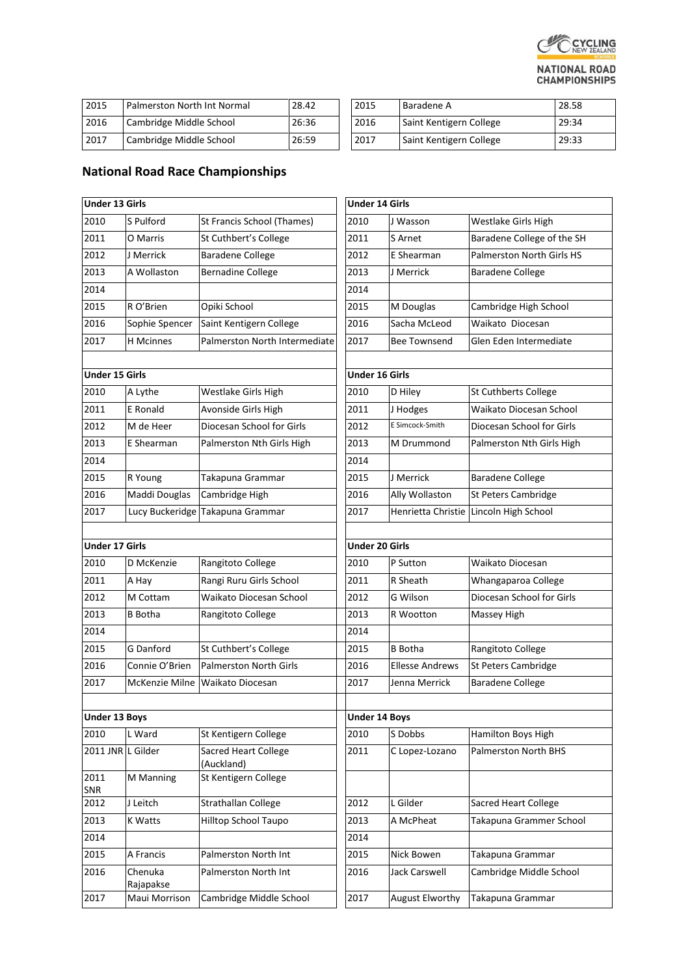

| 2015 | Palmerston North Int Normal | 28.42 | 2015 | Baradene A              | 28.58 |
|------|-----------------------------|-------|------|-------------------------|-------|
| 2016 | Cambridge Middle School     | 26:36 | 2016 | Saint Kentigern College | 29:34 |
| 2017 | Cambridge Middle School     | 26:59 | 2017 | Saint Kentigern College | 29:33 |

| 2015 | Baradene A              | 28.58 |
|------|-------------------------|-------|
| 2016 | Saint Kentigern College | 29:34 |
| 2017 | Saint Kentigern College | 29:33 |

### **National Road Race Championships**

| <b>Under 13 Girls</b> |                      |                                    | <b>Under 14 Girls</b> |                        |                            |  |  |
|-----------------------|----------------------|------------------------------------|-----------------------|------------------------|----------------------------|--|--|
| 2010                  | S Pulford            | St Francis School (Thames)         | 2010                  | J Wasson               | Westlake Girls High        |  |  |
| 2011                  | O Marris             | St Cuthbert's College              | 2011                  | S Arnet                | Baradene College of the SH |  |  |
| 2012                  | J Merrick            | <b>Baradene College</b>            | 2012                  | E Shearman             | Palmerston North Girls HS  |  |  |
| 2013                  | A Wollaston          | <b>Bernadine College</b>           | 2013                  | J Merrick              | <b>Baradene College</b>    |  |  |
| 2014                  |                      |                                    | 2014                  |                        |                            |  |  |
| 2015                  | R O'Brien            | Opiki School                       | 2015                  | M Douglas              | Cambridge High School      |  |  |
| 2016                  | Sophie Spencer       | Saint Kentigern College            | 2016                  | Sacha McLeod           | Waikato Diocesan           |  |  |
| 2017                  | <b>H</b> Mcinnes     | Palmerston North Intermediate      | 2017                  | Bee Townsend           | Glen Eden Intermediate     |  |  |
|                       |                      |                                    |                       |                        |                            |  |  |
| <b>Under 15 Girls</b> |                      | <b>Under 16 Girls</b>              |                       |                        |                            |  |  |
| 2010                  | A Lythe              | Westlake Girls High                | 2010                  | D Hiley                | St Cuthberts College       |  |  |
| 2011                  | E Ronald             | Avonside Girls High                | 2011                  | J Hodges               | Waikato Diocesan School    |  |  |
| 2012                  | M de Heer            | Diocesan School for Girls          | 2012                  | E Simcock-Smith        | Diocesan School for Girls  |  |  |
| 2013                  | E Shearman           | Palmerston Nth Girls High          | 2013                  | M Drummond             | Palmerston Nth Girls High  |  |  |
| 2014                  |                      |                                    | 2014                  |                        |                            |  |  |
| 2015                  | R Young              | Takapuna Grammar                   | 2015                  | J Merrick              | <b>Baradene College</b>    |  |  |
| 2016                  | Maddi Douglas        | Cambridge High                     | 2016                  | Ally Wollaston         | <b>St Peters Cambridge</b> |  |  |
| 2017                  | Lucy Buckeridge      | Takapuna Grammar                   | 2017                  | Henrietta Christie     | Lincoln High School        |  |  |
| <b>Under 17 Girls</b> |                      |                                    | <b>Under 20 Girls</b> |                        |                            |  |  |
| 2010                  | D McKenzie           | Rangitoto College                  | 2010                  | P Sutton               | Waikato Diocesan           |  |  |
| 2011                  | A Hay                | Rangi Ruru Girls School            | 2011                  | R Sheath               | Whangaparoa College        |  |  |
| 2012                  | M Cottam             | Waikato Diocesan School            | 2012                  | G Wilson               | Diocesan School for Girls  |  |  |
|                       |                      |                                    |                       |                        |                            |  |  |
| 2013                  | B Botha              | Rangitoto College                  | 2013                  | R Wootton              | Massey High                |  |  |
| 2014                  |                      |                                    | 2014                  |                        |                            |  |  |
| 2015                  | G Danford            | St Cuthbert's College              | 2015                  | <b>B</b> Botha         | Rangitoto College          |  |  |
| 2016                  | Connie O'Brien       | <b>Palmerston North Girls</b>      | 2016                  | <b>Ellesse Andrews</b> | St Peters Cambridge        |  |  |
| 2017                  | McKenzie Milne       | Waikato Diocesan                   | 2017                  | Jenna Merrick          | <b>Baradene College</b>    |  |  |
| <b>Under 13 Boys</b>  |                      |                                    |                       |                        |                            |  |  |
| 2010                  | L Ward               | St Kentigern College               | <b>Under 14 Boys</b>  |                        |                            |  |  |
|                       |                      |                                    | 2010                  | S Dobbs                | Hamilton Boys High         |  |  |
| 2011 JNR L Gilder     |                      | Sacred Heart College<br>(Auckland) | 2011                  | C Lopez-Lozano         | Palmerston North BHS       |  |  |
| 2011<br>SNR           | M Manning            | St Kentigern College               |                       |                        |                            |  |  |
| 2012                  | J Leitch             | <b>Strathallan College</b>         | 2012                  | L Gilder               | Sacred Heart College       |  |  |
| 2013                  | K Watts              | Hilltop School Taupo               | 2013                  | A McPheat              | Takapuna Grammer School    |  |  |
| 2014                  |                      |                                    | 2014                  |                        |                            |  |  |
| 2015                  | A Francis            | Palmerston North Int               | 2015                  | Nick Bowen             | Takapuna Grammar           |  |  |
| 2016                  | Chenuka<br>Rajapakse | Palmerston North Int               | 2016                  | Jack Carswell          | Cambridge Middle School    |  |  |
| 2017                  | Maui Morrison        | Cambridge Middle School            | 2017                  | <b>August Elworthy</b> | Takapuna Grammar           |  |  |
|                       |                      |                                    |                       |                        |                            |  |  |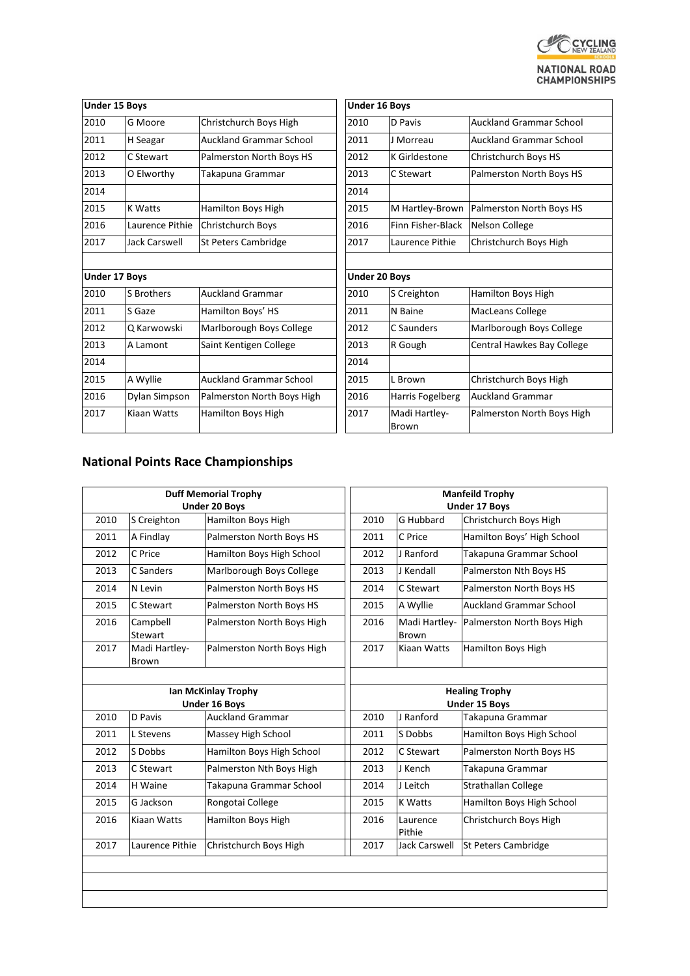

|      | <b>Under 15 Boys</b> |                                |      |                               | <b>Under 16 Boys</b> |
|------|----------------------|--------------------------------|------|-------------------------------|----------------------|
| 2010 | G Moore              | Christchurch Boys High         | 2010 |                               | <b>D</b> Pavis       |
| 2011 | H Seagar             | Auckland Grammar School        | 2011 |                               | J Morreau            |
| 2012 | C Stewart            | Palmerston North Boys HS       | 2012 |                               | K Girldestone        |
| 2013 | O Elworthy           | Takapuna Grammar               | 2013 |                               | C Stewart            |
| 2014 |                      |                                | 2014 |                               |                      |
| 2015 | <b>K Watts</b>       | Hamilton Boys High             | 2015 |                               | M Hartley-Brown      |
| 2016 | Laurence Pithie      | Christchurch Boys              | 2016 |                               | Finn Fisher-Black    |
| 2017 | Jack Carswell        | St Peters Cambridge            | 2017 |                               | Laurence Pithie      |
|      |                      |                                |      |                               |                      |
|      | <b>Under 17 Boys</b> |                                |      | <b>Under 20 Boys</b>          |                      |
| 2010 | S Brothers           | <b>Auckland Grammar</b>        | 2010 | S Creighton                   |                      |
| 2011 | S Gaze               | Hamilton Boys' HS              | 2011 | N Baine                       |                      |
| 2012 | Q Karwowski          | Marlborough Boys College       | 2012 | C Saunders                    |                      |
| 2013 | A Lamont             | Saint Kentigen College         | 2013 | R Gough                       |                      |
| 2014 |                      |                                | 2014 |                               |                      |
| 2015 | A Wyllie             | <b>Auckland Grammar School</b> | 2015 | L Brown                       |                      |
| 2016 | Dylan Simpson        | Palmerston North Boys High     | 2016 | Harris Fogelberg              |                      |
| 2017 | Kiaan Watts          | Hamilton Boys High             | 2017 | Madi Hartley-<br><b>Brown</b> |                      |

#### **National Points Race Championships**

| <b>Duff Memorial Trophy</b><br><b>Under 20 Boys</b> |                                             |                            | <b>Manfeild Trophy</b><br><b>Under 17 Boys</b> |                                               |                                |  |  |
|-----------------------------------------------------|---------------------------------------------|----------------------------|------------------------------------------------|-----------------------------------------------|--------------------------------|--|--|
| Hamilton Boys High<br>2010<br>S Creighton           |                                             | 2010                       | <b>G</b> Hubbard                               | Christchurch Boys High                        |                                |  |  |
| 2011                                                | A Findlay                                   | Palmerston North Boys HS   | 2011                                           | C Price                                       | Hamilton Boys' High School     |  |  |
| 2012                                                | C Price                                     | Hamilton Boys High School  | 2012                                           | J Ranford                                     | Takapuna Grammar School        |  |  |
| 2013                                                | C Sanders                                   | Marlborough Boys College   | 2013                                           | J Kendall                                     | Palmerston Nth Boys HS         |  |  |
| 2014                                                | N Levin                                     | Palmerston North Boys HS   | 2014                                           | C Stewart                                     | Palmerston North Boys HS       |  |  |
| 2015                                                | C Stewart                                   | Palmerston North Boys HS   | 2015                                           | A Wyllie                                      | <b>Auckland Grammar School</b> |  |  |
| 2016                                                | Campbell<br>Stewart                         | Palmerston North Boys High | 2016                                           | Madi Hartley-<br><b>Brown</b>                 | Palmerston North Boys High     |  |  |
| 2017                                                | Madi Hartley-<br>Brown                      | Palmerston North Boys High | 2017                                           | Kiaan Watts                                   | Hamilton Boys High             |  |  |
|                                                     |                                             |                            |                                                |                                               |                                |  |  |
|                                                     | Ian McKinlay Trophy<br><b>Under 16 Boys</b> |                            |                                                | <b>Healing Trophy</b><br><b>Under 15 Boys</b> |                                |  |  |
| 2010                                                | D Pavis                                     | <b>Auckland Grammar</b>    | 2010                                           | J Ranford                                     | Takapuna Grammar               |  |  |
| 2011                                                | L Stevens                                   | Massey High School         | 2011                                           | S Dobbs                                       | Hamilton Boys High School      |  |  |
| 2012                                                | S Dobbs                                     | Hamilton Boys High School  | 2012                                           | C Stewart                                     | Palmerston North Boys HS       |  |  |
| 2013                                                | C Stewart                                   | Palmerston Nth Boys High   | 2013                                           | J Kench                                       | Takapuna Grammar               |  |  |
| 2014                                                | H Waine                                     | Takapuna Grammar School    | 2014                                           | J Leitch                                      | Strathallan College            |  |  |
| 2015                                                | G Jackson                                   | Rongotai College           | 2015                                           | K Watts                                       | Hamilton Boys High School      |  |  |
| 2016                                                | Kiaan Watts                                 | Hamilton Boys High         | 2016                                           | Laurence<br>Pithie                            | Christchurch Boys High         |  |  |
| 2017                                                | Laurence Pithie                             | Christchurch Boys High     | 2017                                           | <b>Jack Carswell</b>                          | St Peters Cambridge            |  |  |
|                                                     |                                             |                            |                                                |                                               |                                |  |  |
|                                                     |                                             |                            |                                                |                                               |                                |  |  |
|                                                     |                                             |                            |                                                |                                               |                                |  |  |